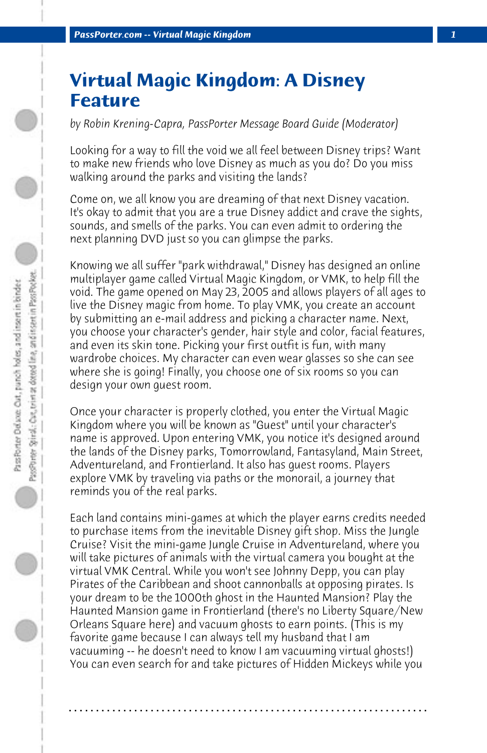## **Virtual Magic Kingdom: A Disney Feature**

*by Robin Krening-Capra, PassPorter Message Board Guide (Moderator)*

Looking for a way to fill the void we all feel between Disney trips? Want to make new friends who love Disney as much as you do? Do you miss walking around the parks and visiting the lands?

Come on, we all know you are dreaming of that next Disney vacation. It's okay to admit that you are a true Disney addict and crave the sights, sounds, and smells of the parks. You can even admit to ordering the next planning DVD just so you can glimpse the parks.

Knowing we all suffer "park withdrawal," Disney has designed an online multiplayer game called Virtual Magic Kingdom, or VMK, to help fill the void. The game opened on May 23, 2005 and allows players of all ages to live the Disney magic from home. To play VMK, you create an account by submitting an e-mail address and picking a character name. Next, you choose your character's gender, hair style and color, facial features, and even its skin tone. Picking your first outfit is fun, with many wardrobe choices. My character can even wear glasses so she can see where she is going! Finally, you choose one of six rooms so you can design your own guest room.

Once your character is properly clothed, you enter the Virtual Magic Kingdom where you will be known as "Guest" until your character's name is approved. Upon entering VMK, you notice it's designed around the lands of the Disney parks, Tomorrowland, Fantasyland, Main Street, Adventureland, and Frontierland. It also has guest rooms. Players explore VMK by traveling via paths or the monorail, a journey that reminds you of the real parks.

Each land contains mini-games at which the player earns credits needed to purchase items from the inevitable Disney gift shop. Miss the Jungle Cruise? Visit the mini-game Jungle Cruise in Adventureland, where you will take pictures of animals with the virtual camera you bought at the virtual VMK Central. While you won't see Johnny Depp, you can play Pirates of the Caribbean and shoot cannonballs at opposing pirates. Is your dream to be the 1000th ghost in the Haunted Mansion? Play the Haunted Mansion game in Frontierland (there's no Liberty Square/New Orleans Square here) and vacuum ghosts to earn points. (This is my favorite game because I can always tell my husband that I am vacuuming -- he doesn't need to know I am vacuuming virtual ghosts!) You can even search for and take pictures of Hidden Mickeys while you

**. . . . . . . . . . . . . . . . . . . . . . . . . . . . . . . . . . . . . . . . . . . . . . . . . . . . . . . . . . . . . . . . . .**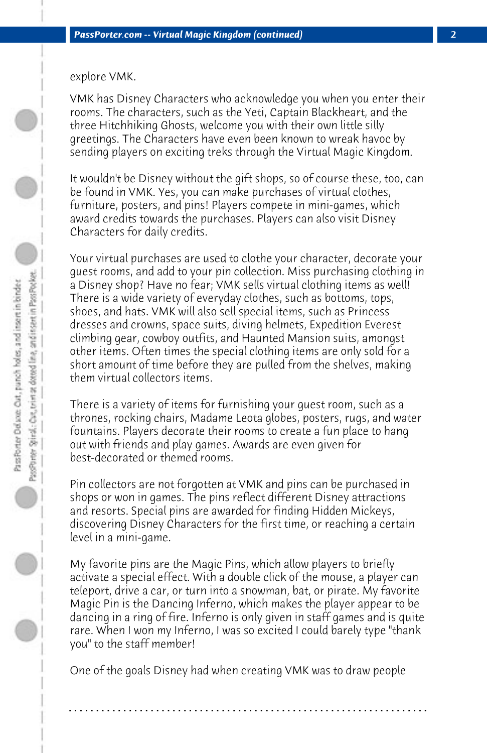## explore VMK.

VMK has Disney Characters who acknowledge you when you enter their rooms. The characters, such as the Yeti, Captain Blackheart, and the three Hitchhiking Ghosts, welcome you with their own little silly greetings. The Characters have even been known to wreak havoc by sending players on exciting treks through the Virtual Magic Kingdom.

It wouldn't be Disney without the gift shops, so of course these, too, can be found in VMK. Yes, you can make purchases of virtual clothes, furniture, posters, and pins! Players compete in mini-games, which award credits towards the purchases. Players can also visit Disney Characters for daily credits.

Your virtual purchases are used to clothe your character, decorate your guest rooms, and add to your pin collection. Miss purchasing clothing in a Disney shop? Have no fear; VMK sells virtual clothing items as well! There is a wide variety of everyday clothes, such as bottoms, tops, shoes, and hats. VMK will also sell special items, such as Princess dresses and crowns, space suits, diving helmets, Expedition Everest climbing gear, cowboy outfits, and Haunted Mansion suits, amongst other items. Often times the special clothing items are only sold for a short amount of time before they are pulled from the shelves, making them virtual collectors items.

There is a variety of items for furnishing your guest room, such as a thrones, rocking chairs, Madame Leota globes, posters, rugs, and water fountains. Players decorate their rooms to create a fun place to hang out with friends and play games. Awards are even given for best-decorated or themed rooms.

Pin collectors are not forgotten at VMK and pins can be purchased in shops or won in games. The pins reflect different Disney attractions and resorts. Special pins are awarded for finding Hidden Mickeys, discovering Disney Characters for the first time, or reaching a certain level in a mini-game.

My favorite pins are the Magic Pins, which allow players to briefly activate a special effect. With a double click of the mouse, a player can teleport, drive a car, or turn into a snowman, bat, or pirate. My favorite Magic Pin is the Dancing Inferno, which makes the player appear to be dancing in a ring of fire. Inferno is only given in staff games and is quite rare. When I won my Inferno, I was so excited I could barely type "thank you" to the staff member!

One of the goals Disney had when creating VMK was to draw people

**. . . . . . . . . . . . . . . . . . . . . . . . . . . . . . . . . . . . . . . . . . . . . . . . . . . . . . . . . . . . . . . . . .**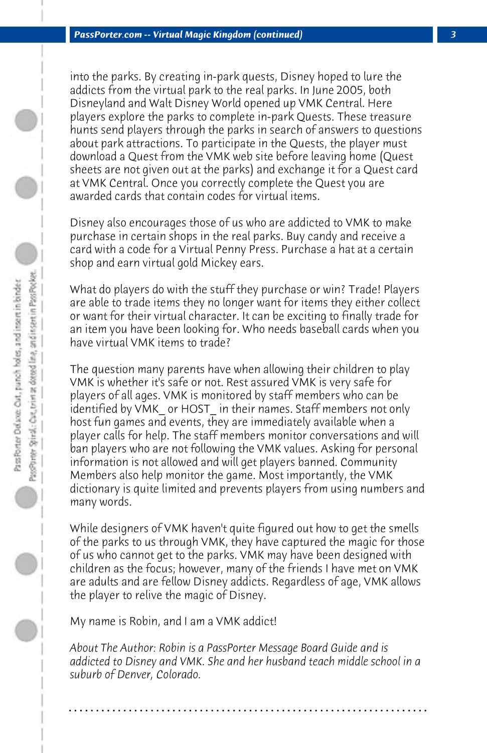into the parks. By creating in-park quests, Disney hoped to lure the addicts from the virtual park to the real parks. In June 2005, both Disneyland and Walt Disney World opened up VMK Central. Here players explore the parks to complete in-park Quests. These treasure hunts send players through the parks in search of answers to questions about park attractions. To participate in the Quests, the player must download a Quest from the VMK web site before leaving home (Quest sheets are not given out at the parks) and exchange it for a Quest card at VMK Central. Once you correctly complete the Quest you are awarded cards that contain codes for virtual items.

Disney also encourages those of us who are addicted to VMK to make purchase in certain shops in the real parks. Buy candy and receive a card with a code for a Virtual Penny Press. Purchase a hat at a certain shop and earn virtual gold Mickey ears.

What do players do with the stuff they purchase or win? Trade! Players are able to trade items they no longer want for items they either collect or want for their virtual character. It can be exciting to finally trade for an item you have been looking for. Who needs baseball cards when you have virtual VMK items to trade?

The question many parents have when allowing their children to play VMK is whether it's safe or not. Rest assured VMK is very safe for players of all ages. VMK is monitored by staff members who can be identified by VMK or HOST in their names. Staff members not only host fun games and events, they are immediately available when a player calls for help. The staff members monitor conversations and will ban players who are not following the VMK values. Asking for personal information is not allowed and will get players banned. Community Members also help monitor the game. Most importantly, the VMK dictionary is quite limited and prevents players from using numbers and many words.

While designers of VMK haven't quite figured out how to get the smells of the parks to us through VMK, they have captured the magic for those of us who cannot get to the parks. VMK may have been designed with children as the focus; however, many of the friends I have met on VMK are adults and are fellow Disney addicts. Regardless of age, VMK allows the player to relive the magic of Disney.

My name is Robin, and I am a VMK addict!

*About The Author: Robin is a PassPorter Message Board Guide and is addicted to Disney and VMK. She and her husband teach middle school in a suburb of Denver, Colorado.*

**. . . . . . . . . . . . . . . . . . . . . . . . . . . . . . . . . . . . . . . . . . . . . . . . . . . . . . . . . . . . . . . . . .**